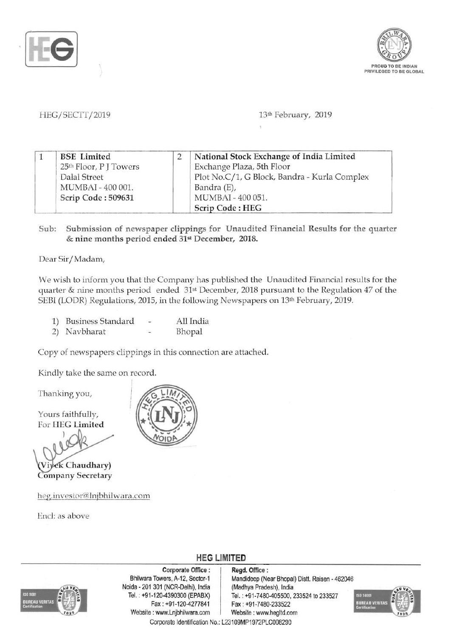



HEG/SECTT/2019 13th February, 2019

| 1 | <b>BSE</b> Limited     | National Stock Exchange of India Limited     |
|---|------------------------|----------------------------------------------|
|   | 25th Floor, P J Towers | Exchange Plaza, 5th Floor                    |
|   | Dalal Street           | Plot No.C/1, G Block, Bandra - Kurla Complex |
|   | MUMBAI - 400 001.      | Bandra (E),                                  |
|   | Scrip Code: 509631     | MUMBAI - 400 051.                            |
|   |                        | Scrip Code: HEG                              |

Sub: Submission of newspaper clippings for Unaudited Financial Results for the quarter & nine months period ended 31st December, 2018.

Dear Sir/Madam,

We wish to inform you that the Company has published the Unaudited Financial results for the quarter & nine months period ended 31st December, 2018 pursuant to the Regulation 47 of the SEBI (LODR) Regulations, 2015, in the following Newspapers on 13th February, 2019.

| 1)<br><b>Business Standard</b> |  | All India |
|--------------------------------|--|-----------|
|--------------------------------|--|-----------|

2) Navbharat - Bhopal

Copy of newspapers clippings in this connection are attached.

Kindly take the same on record.

Thanking you,

Yours faithfully, For HEG Limited

Viyek Chaudhary) **Company Secretary** 

heg.investor@lnjbhilwara.com

End: as above



**HEG LIMITED** 



Corporate Office : | Regd. Office : Noida - 201 301 (NCR-Delhi), India (Madhya Pradesh), India Fax : +91-120-4277841 Fax: +91-7480-233522 Website : www.Lnjbhilwara.com | Website : www.hegltd.com Corporate Identification No.: L23109MP1972PLC008290

Bhilwara Towers, A-12, Sector-1 Mandideep (Near Bhopal) Distt. Raisen - 462046 Tel. : +91-120-4390300 (EPABX) Tel. : +91-7480-405500, 233524 to 233527

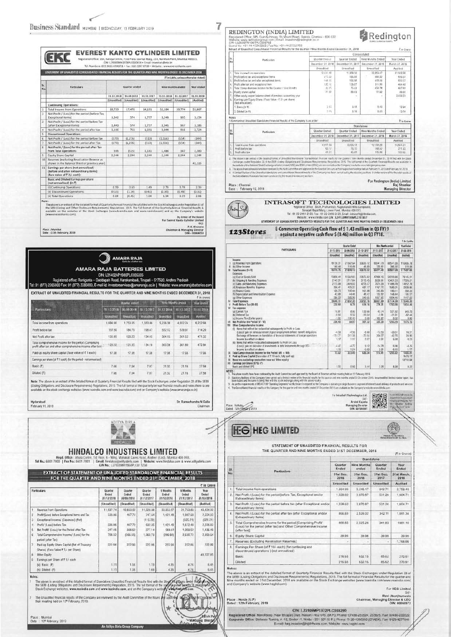$-38$ 

 $\frac{1}{2}$ 3

 $\begin{array}{c|c}\n\hline\n\text{4} & \text{5} \\
\hline\n\text{6} & \text{7} \\
\hline\n\text{8}\n\end{array}$ 

 $\frac{9}{10}$  $\frac{1}{11}$ 

 $N<sub>0</sub>$ 

Place : Mumbai<br>Date : 11th February, 2019

7

| Tel. Numbers: 022-3026 8300/01 + Fax: 022-2287 0720 + Website: www.everestkanto.com                          |             |               | CIN: L29200MH1978PLC020434 · Email: investors@ekc.in |             |                                       |                   |
|--------------------------------------------------------------------------------------------------------------|-------------|---------------|------------------------------------------------------|-------------|---------------------------------------|-------------------|
| STATEMENT OF UNAUDITED CONSOLIDATED FINANCIAL RESULTS FOR THE QUARTER AND NINE MONTHS ENDED 31 DECEMBER 2018 |             |               |                                                      |             | (? in Lakha, unless otherwise stated) |                   |
|                                                                                                              |             |               |                                                      |             |                                       |                   |
| Particulars                                                                                                  |             | Quarter anded |                                                      |             | Nine months ended                     | <b>Year inded</b> |
|                                                                                                              | 31 12,2018  | 30.09.2018    | 31.12.2017                                           | 31.12.2018  | 31.12.2017                            | 31.03.2018        |
|                                                                                                              | [Unaudited] | (Unaudited)   | (Unaudited)                                          | fUnaudited] | (Unaudited)                           | (Audited)         |
| <b>Continuing Operations:</b>                                                                                |             |               |                                                      |             |                                       |                   |
| <b>Total Income from Operations</b>                                                                          | 18.739      | 17.470        | 14.191                                               | 52.184      | 39.774                                | 55,807            |
| Net Profit / (Loss) for the period (before Tax,<br><b>Exceptional Items)</b>                                 | 1.342       | 574           | 1.757                                                | 3.248       | 935                                   | 3.154             |
| Net Profit / (Loss) for the period before Tax<br>fafter Exceptional Items)                                   | 1,440       | 574           | 1,757                                                | 3.346       | 967                                   | 3.186             |
| Net Profit / (Loss) for the period after tax                                                                 | 1.106       | 761           | 1,691                                                | 3,044       | 901                                   | 2,724             |
| <b>Discontinued Operations:</b>                                                                              |             |               |                                                      |             |                                       |                   |
| Net Profit / (Loss) for the period before Tax                                                                | (170)       | (1, 276)      | [510]                                                | (1.556)     | (554)                                 | (3.44)            |
| Net Profit / (Loss) for the period after Tax                                                                 | (170)       | [1.276]       | (510)                                                | (1.556)     | (554)                                 | (344)             |
| Net Profit / (Loss) for the period after Tax<br>from Total Operations                                        | 936         | 15151         | 1,181                                                | 1,488       | 347                                   | 2.380             |
| Equity Share Capital                                                                                         | 2.244       | 2.244         | 2.244                                                | 2.244       | 2.244                                 | 2.244             |
| Reserves (excluding Revaluation Reserve as<br>shown in the Balance Sheet of previous year)                   |             |               |                                                      |             |                                       | 42.126            |
| Earnings per share (not annualised)<br>(before and after extraordinary items)<br>(face value of ₹ 2/- each): |             |               |                                                      |             |                                       |                   |
| <b>Basic and Diluted Earings per share</b><br>(not annualised) (in ?)                                        |             |               |                                                      |             |                                       |                   |
| (i) Continuing Operations:                                                                                   | 0.99        | 0.69          | 1.49                                                 | 2.73        | 0.78                                  | 2.39              |
| (ii) Discontinued Operations:                                                                                | 10.151      | [1.14]        | (0.45)                                               | (1.39)      | (0.49)                                | 10.313            |
| (ii) Total Operations                                                                                        | 0.84        | [0.45]        | 1:04                                                 | 1.34        | 0.29                                  | 2.08              |

oy urber<br>Unit Kanto Cull

 $P$ 

Dr. Ramachandra N Galla<br>Chairman



## AMARA RAJA BATTERIES LIMITED

CIN: L314024P1985PLC005305<br>Registered office: Renigunta - Culddapah Road, Karakambadi, Tirupati - 517520, Andhra Pradesh<br>Tel: 91 (877) 2265000 Fax: 91 (877) 2265600, E-mail id: investorservices@amararaja.co.in | Website: w

EXTRACT OF UNAUDITED FINANCIAL RESULTS FOR THE QUARTER AND NINE MONTHS ENDED DECEMBER 31, 2018

|                                                                                                                     | Quarter anded. |            |                  | Nine Months ended |                 | rear ended |  |
|---------------------------------------------------------------------------------------------------------------------|----------------|------------|------------------|-------------------|-----------------|------------|--|
| Particulars                                                                                                         | 31 12:2018     | 30.09.2018 | 31 12:2817       | 31.12.2018        | 31 2241         | 31:03.2048 |  |
|                                                                                                                     | Unmalited      | thoutites  | <b>Uranuited</b> | <b>Usambbal</b>   | <b>Equation</b> | Audiof     |  |
| Total income from operations                                                                                        | 1,694.66       | 1.753.05   | 1,553.46         | 5,226.38          | 4,652.24        | 6 232 98   |  |
| Profit before tax                                                                                                   | 197.80         | 184.79     | 198.47           | 552.12            | 539.91          | 714.20     |  |
| Net Profit after tax                                                                                                | 130.89         | 120.23     | 134.45           | 364.15            | 361.52          | 471.32     |  |
| Total comprehensive income for the period (Comprising<br>profit after tax and other comprehensive income after tax) | 129.22         | 121.35     | 134.18           | 363 56            | 361.60          | 472.84     |  |
| Paid-up equity share capital (face value of ₹ 1 each)                                                               | 17.06          | 17.08      | 17.08            | 17.08             | 17.08           | 17.08      |  |
| Earnings per share (of ₹ 1 each) (for the period - not annualised).                                                 |                |            |                  |                   |                 |            |  |
| Basic (₹)                                                                                                           | 7.66           | 7.04       | 7.87             | 21.32             | 21.15           | 27.59      |  |
| Diluted (₹)                                                                                                         | 7.66           | 7.04       | 7.87             | 21.32             | 21.16           | 27.59      |  |

Note: The shove is an exhact of the detailed format of Quartery Framcial Results fled with the Stock Exchanges under Regulation 33 of the SEBI<br>(Listing Obligations and Disclosure Requirements) Regulations, 2015. The Oil fo

Hyderabad<br>February 11, 2019

|                                                                                        |                                | ADITYA BIRLA                          |                                 |                                 |                                  |                                                                                                                                                                                                                                                                                                                                                                                                            |
|----------------------------------------------------------------------------------------|--------------------------------|---------------------------------------|---------------------------------|---------------------------------|----------------------------------|------------------------------------------------------------------------------------------------------------------------------------------------------------------------------------------------------------------------------------------------------------------------------------------------------------------------------------------------------------------------------------------------------------|
|                                                                                        |                                |                                       |                                 |                                 |                                  |                                                                                                                                                                                                                                                                                                                                                                                                            |
|                                                                                        |                                |                                       |                                 |                                 |                                  | ₹ in Crore                                                                                                                                                                                                                                                                                                                                                                                                 |
|                                                                                        | Quarter<br>Ended<br>31/12/2018 | Quarter<br><b>Ended</b><br>30/09/2018 | Quarter<br>Ended:<br>31/12/2017 | 9 Months<br>Ended<br>31/12/2018 | 9 Months<br>Feded.<br>31/12/2017 | <b>Year</b><br><b>Ended</b><br>31/03/2018                                                                                                                                                                                                                                                                                                                                                                  |
|                                                                                        | (Unaudited)                    | (Unaudited)                           | (Unaudited)                     | (Unaudited)                     | (Unaudited)                      | (Audited)                                                                                                                                                                                                                                                                                                                                                                                                  |
| Revenue from Operations                                                                | 11.937.74                      | 10,833.02                             | 11,028.08                       | 33.363.97                       | 31,753.83                        | 43.434.93                                                                                                                                                                                                                                                                                                                                                                                                  |
| Profit/(Loss) before Exceptional Items and Tax                                         | 338.06                         | 467.72                                | 747.64                          | 1.421.49                        | 1,997.69                         | 2,554.03                                                                                                                                                                                                                                                                                                                                                                                                   |
| Exceptional Income/ (Expenses) (Net)                                                   |                                |                                       | (115.29)                        |                                 | [325.21]                         | (325.21)                                                                                                                                                                                                                                                                                                                                                                                                   |
| Profit/ (Loss) before Tax                                                              | 338.06                         | 467.72                                | 632.35                          | 1.421.49                        | 1,672.48                         | 2,228.82                                                                                                                                                                                                                                                                                                                                                                                                   |
| Net Profit/ (Loss) for the Period after Tax                                            | 247.46                         | 308.62                                | 377.14                          | 969.61                          | 1,059.52                         | 1,436.49                                                                                                                                                                                                                                                                                                                                                                                                   |
| Total Comprehensive Income/ (Loss) for the<br>period (after Tax)                       | 708.32                         | (366.55)                              | 1.360.73                        | (286.69)                        | 2.630.72                         | 2 3 9 3 6 4                                                                                                                                                                                                                                                                                                                                                                                                |
| Paid-up Equity Share Capital (Net of Treasury)<br>Shares) (Face Value ₹ 1/- per Share) | 222.94                         | 222.93                                | 222.86                          | 222.94                          | 222.86                           | 222.89                                                                                                                                                                                                                                                                                                                                                                                                     |
| Other Equity                                                                           |                                |                                       |                                 |                                 |                                  | 49.227.85                                                                                                                                                                                                                                                                                                                                                                                                  |
| Earnings per Share of ₹ 1/- each                                                       |                                |                                       |                                 |                                 |                                  |                                                                                                                                                                                                                                                                                                                                                                                                            |
| (a) Basic (?)                                                                          | 1.11                           | 1.38                                  | 1.70                            | 4.35                            | 4.75                             | 6.45                                                                                                                                                                                                                                                                                                                                                                                                       |
| (b) Diluted (c)                                                                        | 111                            | 1.38                                  | 1.69                            | 4.35                            | 4.75                             | 6.45                                                                                                                                                                                                                                                                                                                                                                                                       |
|                                                                                        | Particulars                    |                                       | <b>HEIDALCO</b>                 | CIN No.: 1.27020MH1958PLC011238 |                                  | HINDALCO INDUSTRIES LIMITED<br>Read, Office : Ahura Centre, 1st Floor, B - Wing, Mahakali Caves Road, Andhert (East), Mumbai 400 093.<br>Tel No.: 6691 7000   Fax No.: 6691 7001   Email: hindalco@adityabirla.com   Website: www.hindalco.com & www.adityabirla.com<br><b>EXTRACT OF STATEMENT OF UNAUDITED STANDALONE FINANCIAL RESULTS</b><br>FOR THE QUARTER AND NINE MONTHS ENDED 31st DECEMBER, 2018 |

An Aditya Birla Group Compar

#### REDINGTON (INDIA) LIMITED Redington - 600 032 legislered Office: SPL Guintly House, 95 Mount Rourt, G<br>Rebsha, www.redingtongroup com | Email: Investors@re<br>iN: LS2599TN1961PLC028755<br>Ioand No: +91-44-42243353 | Fax No: +91-44-22253799 or the Quarter / Nine Months Ended December 31, 2018 Extract of tin

|    | Particulars                                                                                                                                                                                                                                                                                                                                                                                                                                                                                                                                                                                                                                                                                                                                                                                                                          | <b>Osseter Ended</b> | Quarter Ended        | Nine Months Ended | Year Ended                                   |
|----|--------------------------------------------------------------------------------------------------------------------------------------------------------------------------------------------------------------------------------------------------------------------------------------------------------------------------------------------------------------------------------------------------------------------------------------------------------------------------------------------------------------------------------------------------------------------------------------------------------------------------------------------------------------------------------------------------------------------------------------------------------------------------------------------------------------------------------------|----------------------|----------------------|-------------------|----------------------------------------------|
| lα |                                                                                                                                                                                                                                                                                                                                                                                                                                                                                                                                                                                                                                                                                                                                                                                                                                      | Optember 11, 2018    | December 31, 2017    | December 31, 2018 | March 31, 2015                               |
|    |                                                                                                                                                                                                                                                                                                                                                                                                                                                                                                                                                                                                                                                                                                                                                                                                                                      | Unauditart           | Unandited            | Unaudited         | Audited                                      |
|    | Total income from newsplining                                                                                                                                                                                                                                                                                                                                                                                                                                                                                                                                                                                                                                                                                                                                                                                                        | 12.631.08            | 11,309.96            | 13953.47          | 41.502.58                                    |
|    | Profit before tax and ascentional itema.                                                                                                                                                                                                                                                                                                                                                                                                                                                                                                                                                                                                                                                                                                                                                                                             | 115.32               | 166.06               | 484.62            | 630.57                                       |
|    | Peo's before tax and abst exceptional dents.                                                                                                                                                                                                                                                                                                                                                                                                                                                                                                                                                                                                                                                                                                                                                                                         | 144.25               | 166.06               | 413.46            | 630.57                                       |
|    | Profit after tax and exceptional item                                                                                                                                                                                                                                                                                                                                                                                                                                                                                                                                                                                                                                                                                                                                                                                                | 130.10               | 136.67               | 311.99            | 485.42                                       |
|    | Total Comershensive Income for the Quarter / Ning Mondos                                                                                                                                                                                                                                                                                                                                                                                                                                                                                                                                                                                                                                                                                                                                                                             | 3125                 | 35.62                | 454 78            | 487.81                                       |
|    | Equity share capital                                                                                                                                                                                                                                                                                                                                                                                                                                                                                                                                                                                                                                                                                                                                                                                                                 | 77.52                | 30.03                | 77.82             | 80.03                                        |
|    | Other equity as per balance sheet of previous accounting year.                                                                                                                                                                                                                                                                                                                                                                                                                                                                                                                                                                                                                                                                                                                                                                       |                      | $\sim$               | $\sim$            | 1,450.53                                     |
|    | Eamings per Equity Share. (Face Value - ₹ 3) -per share)<br>Riot annualized)                                                                                                                                                                                                                                                                                                                                                                                                                                                                                                                                                                                                                                                                                                                                                         |                      |                      |                   |                                              |
|    | f. Basic (n t)                                                                                                                                                                                                                                                                                                                                                                                                                                                                                                                                                                                                                                                                                                                                                                                                                       | 16                   | 3.18                 | 8.49              | 12.04                                        |
|    | 2. Diluted (in 1)                                                                                                                                                                                                                                                                                                                                                                                                                                                                                                                                                                                                                                                                                                                                                                                                                    | 385                  | 3.18                 | 3.49              | $-12.04$                                     |
|    |                                                                                                                                                                                                                                                                                                                                                                                                                                                                                                                                                                                                                                                                                                                                                                                                                                      |                      |                      | Standalone        |                                              |
| íα | Particulars                                                                                                                                                                                                                                                                                                                                                                                                                                                                                                                                                                                                                                                                                                                                                                                                                          | <b>Quartur Enged</b> | <b>Quarter Ended</b> | Nine Months Ended | Year Ended                                   |
|    |                                                                                                                                                                                                                                                                                                                                                                                                                                                                                                                                                                                                                                                                                                                                                                                                                                      | December 31, 2518    | December 31, 2017    | December 31, 2018 | March 31, 2018                               |
|    |                                                                                                                                                                                                                                                                                                                                                                                                                                                                                                                                                                                                                                                                                                                                                                                                                                      | Unaudited            | <b>Unaudited</b>     | Unaudited         | Audited                                      |
|    | Total income from new atlants.                                                                                                                                                                                                                                                                                                                                                                                                                                                                                                                                                                                                                                                                                                                                                                                                       | 4.437.56             | 3.928.33             | 12.150.28         | 14,844.21                                    |
|    | Profit before lax                                                                                                                                                                                                                                                                                                                                                                                                                                                                                                                                                                                                                                                                                                                                                                                                                    | 63.17                | 70.10                | 168.57            | 271.33                                       |
|    | People after tax                                                                                                                                                                                                                                                                                                                                                                                                                                                                                                                                                                                                                                                                                                                                                                                                                     | 43.51                | 45.68                | 135,988           | 183.62                                       |
|    | The shown is an extract of the detailed formst of Unaudited Standalone / Consolidated from naudio for the Quarter / New Marchy ended December 31, 2018 Elect with the Stock                                                                                                                                                                                                                                                                                                                                                                                                                                                                                                                                                                                                                                                          |                      |                      |                   |                                              |
|    | Excitainges under Resultation 35 of the SEBI (Listing Obligations and Displosive Resultations Passidiations, 2015. The luft format of the Quarterly Financial Results are available in<br>Bus websites of this National Stock Electuar genellestial (mated #45E) and BSE Limited (BSE) and are availabled the Company's waterles www.netimpton.com<br>The above financial results from his entertaind by the April Committee and approved by the finest of Dimisions all their mapps the magnetizes indican February 11, 2019 and February 17, 2019<br>A Limited Review of the Unworlded standatory and consciolated financial maste of the Company has been carried out by the statutory auditors Asimilar review of the financial maste of<br>the Subsidiaries./Associate has been conducted by the respective statulary assign in |                      |                      |                   |                                              |
|    | lace : Chennai                                                                                                                                                                                                                                                                                                                                                                                                                                                                                                                                                                                                                                                                                                                                                                                                                       |                      |                      |                   | For Redington (India) Limited<br>Raj Shankar |

Place : Chennai<br>Date : February 12, 2019

**INTRASOFT TECHNOLOGIES LIMITED** 

Registered Office : 5022-241 Arginstones (Registered MML Compound,<br>- Sevarald Bapt Marie, Lower Parel, Mundial 400.013<br>- Website: Wave Internation Composition (Marie 122, 24133MMH1966FLC)<br>- STATEMENT OF CONSOLIDATED INAUDI

123Stores

E-Commerce Operating Cash flow of \$1.43 million in Q3 FY19<br>against a negative cash flow \$ (0.46) million in Q3 FY18.  $t$  in Le

|      |                                                                                   |             | <b>Quarter Ended</b> |            | Nine Mueths ended |                  | Year Ended |
|------|-----------------------------------------------------------------------------------|-------------|----------------------|------------|-------------------|------------------|------------|
|      | <b>PARTICULARS</b>                                                                | 31-12-2018  | 30-06-2018           | 31-12-2017 | 31-12-2018        | $31 - 12 - 2017$ | 31-03-2014 |
|      |                                                                                   | (Unaudited) | (linaudited)         | (Unasthet) | filmodied)        | <b>Tinau@edi</b> | (Audited)  |
|      | Income                                                                            |             |                      |            |                   |                  |            |
|      | (a) Revenue from Operations.                                                      | 19110:31    | 21582.64             | 33826.12   | 66541.79          | 88541.39         | 116926.78  |
| u    | (b) Other Income                                                                  | 148.44      | 116.49               | 44.80      | 335.61            | 366.30           | 510.88     |
| w.   | Total Income (I+II)                                                               | 19278.75    | 21699.13             | 33870.92   | 66877.40          | 88987.69         | 117497.66  |
|      | <b>Expenses</b>                                                                   |             |                      |            |                   |                  |            |
|      | (a) Cost of Goods Sold                                                            | 13859.44    | 15564.83             | 22875.82   | 47990.16          | 59230.85         | 79145.31   |
|      | (b) Shipping & Handing Expenses:                                                  | 2142.31     | 2717.E4              | 511545     | 8239.81           | 13431.53         | 17528.31   |
|      | (c) Sales and Marketing Expenses                                                  | 2115.08     | 2449.02              | 4273.57    | 7674.30           | 11499.78         | 14952.79   |
|      | (6) Employee Benefits Expense                                                     | 355.41      | 425.37               | 497.17     | 1167.72           | 1589.21          | 2039.06    |
|      | (e) Finance Costs                                                                 | 126.75      | 105.44               | 101.68     | 343.83            | 180.11           | 254.33     |
|      | (f) Depreciation and Amordsation Expense:                                         | 43.89       | 44.46                | 48.42      | 133.82            | 148.44           | 195.57     |
|      | (c) Other Expenses                                                                | 386.22      | 385.39               | 340.65     | 1057.65           | 1054.46          | 1417.83    |
|      | IV Total Expenses                                                                 | 19040.11    | 21692.35             | 33252.76   | 56607.09          | 87124.39         | 115543.20  |
|      | Profit Belore Tax (III-IV)                                                        | 238.64      | 5.78                 | 618.16     | 270.31            | 1783.30          | 1954.46    |
|      | <b>W</b> Tax expense                                                              |             |                      |            |                   |                  |            |
|      | (a) Current Tax                                                                   | 18.81       | 8.92                 | 138.66     | 42.74             | 551.92           | 643.75     |
|      | (b) Deterred Tax                                                                  | $-0.94$     | 9.32                 | $-19.84$   | $-3.91$           | $-31.91$         | $-52.44$   |
|      | (c) Income Tax (Earler years)                                                     | $+1.66$     | $-100.43$            | 0.00       | $-103.82$         | 0.00             | 0.00       |
| W    | Net Profit for the Period (V - VI)                                                | 230.43      | 88.97                | 507.32     | 335.30            | 1263.29          | 1373.15    |
| w    | Other Constrationship Income                                                      |             |                      |            |                   |                  |            |
|      | (6) Nems that will not be reclassified subsequently to Profit or Loss.            |             |                      |            |                   |                  |            |
|      | (Loss)/ sain on remeasurement of post employment defined iberefit obligations     | $-4.50$     | $-4.50$              | $-8.60$    | $-13.50$          | $-20.61$         | 14.51      |
|      | Exchange differences on translation of financial statements of foreign operations | 151.77      | 241.38               | 70.84      | 204.07            | $-42.70$         | 24.96      |
|      | Income tax effect on above                                                        | 1.17        | 1.17                 | 2.37       | 3.51              | 5.68             | $-3.73$    |
|      | di) Nems that will be reclassified subsequently to Profit or Loss.                |             |                      |            |                   |                  |            |
|      | (Loss)/ gain on fair value of investments in debt instruments through DCI         | $-4.47$     | $+77$                | 0.12       | $-14.78$          | 0.36             | $-4.25$    |
|      | locome tax effect on above                                                        | 1.76        | 1.24                 | $-0.03$    | 3.81              | $-0.10$          | 1.17       |
| œ    | Total Comprehensive Income for the Period (VII + VIII)                            | 72.02       | 323.49               | 430.34     | 518.41            | 1205.97          | 1405.81    |
| X    | Paid up Share Capital (face value of 7 10 each, fully paid up)                    |             |                      |            |                   |                  | 1473.17    |
| M    | Reserves excluding revaluation reserve/ Other equity                              |             |                      |            |                   |                  | 12712.53   |
| XII. | Earnings per Share (EPS) (?)                                                      |             |                      |            |                   |                  |            |
|      | <b>Ragic and dikted EPS</b>                                                       | 1.58        | 0.50                 | 3.44       | 2.28              | 8.58             | 9.32       |

**00185.**<br>- 7. The above results have been reviewed by the Audit Committee and approved by the construction of the commit<br>- The block of the Committee of the Committee and the first of the first process and the mixths ende

 $\begin{array}{r|l|l} \hline \text{for intabSet} & \text{Technulogies Ltd.} & \begin{tabular}{|c|c|} \hline \multicolumn{1}{|c|}{\textbf{[C]}} \multicolumn{1}{|c|}{\textbf{[C]}} \multicolumn{1}{|c|}{\textbf{[C]}} \multicolumn{1}{|c|}{\textbf{[C]}} \multicolumn{1}{|c|}{\textbf{[C]}} \multicolumn{1}{|c|}{\textbf{[C]}} \multicolumn{1}{|c|}{\textbf{[C]}} \multicolumn{1}{|c|}{\textbf{[C]}} \multicolumn{1}{|c|}{\textbf{[C]}}$ 



# **HEG HEG LIMITED**

### STATEMENT OF UNAUDITED FINANCIAL RESULTS FOR THE QUARTER AND NINE MONTHS ENDED 31ST DECEMBER, 2018

|                |                                                                                                                                                   | Standalone        |                                        |                  |                     |  |  |  |
|----------------|---------------------------------------------------------------------------------------------------------------------------------------------------|-------------------|----------------------------------------|------------------|---------------------|--|--|--|
| SI.            |                                                                                                                                                   | Quarter<br>Ended  | Nine Months<br>ended                   | Quarter<br>Ended | Year<br>Ended       |  |  |  |
| No.            | <b>Particulars</b>                                                                                                                                | 31st Dec.<br>2018 | 31st Dec.<br>31st Dec.<br>2018<br>2017 |                  | 31st March.<br>2018 |  |  |  |
|                |                                                                                                                                                   | Unaudited         | Unardited                              | Unaudited        | Audited             |  |  |  |
| 1,             | Total income from operations                                                                                                                      | 1.864.99          | 5.246.17                               | 542.71           | 2,758.40            |  |  |  |
| $\overline{z}$ | Net Profit / (Loss) for the period(before Tax, Exceptional and/or<br>Extraordinary Items)                                                         | 1,328.60          | 3.870.87                               | 531.24           | 1,604 71            |  |  |  |
| ă.             | Net Profit / (Loss) for the period before tax (after Exceptional and/or<br>Extraordinary Items)                                                   | 1,328.60          | 3.870.87                               | 531.24           | 1,604.71            |  |  |  |
| $\overline{4}$ | Net Profit / (Loss) for the period after tax (after Exceptional and/or.<br>Extraordinary Items1                                                   | 866.83            | 2.526.02                               | 342.11           | 1,081.34            |  |  |  |
| S              | Total Comprehensive Income for the period [Comprising Profit/<br>(Loss) for the period (after tax) and Other Comprehensive Income<br>(after tax)? | 866.83            | 2,525.26                               | 341.83           | 1081.10             |  |  |  |
| 6.             | Equity Share Capital                                                                                                                              | 39.95             | 39.96                                  | 39.96            | 39.95               |  |  |  |
| 7.             | Reserves (Excluding Revaluation Reserves)                                                                                                         |                   |                                        |                  | 1,768.66            |  |  |  |
| 8.             | Earnings Per Share (of ₹ 10/- each) (for continuing and<br>discontinued operations ) (not annualized)                                             |                   |                                        |                  |                     |  |  |  |
|                | <b>Rasic</b>                                                                                                                                      | 216.93            | 532 15                                 | 85.62            | 270.51              |  |  |  |
|                | Diluted                                                                                                                                           | 216.93            | 632.15                                 | 85.62            | 270.61              |  |  |  |

Notes: The above is an extract of the detailed format of Quarterly Financial Results fied with the Stock Exchanges under Regulation 33 check that the SED (Listing Obligations and Disclosure Requirements) Regulations 2015. The ful

| Place : Noida (U.P)        |  |
|----------------------------|--|
| Dated: 12th February, 2019 |  |

| For HEG Limited             |
|-----------------------------|
| SAL                         |
| Ravi Jhunjhunwala           |
| an, Managing Director & CEO |
| DIN: 00060972               |

Chairn

**A** 

(f in Crores)

### CIN: L23109MP1972PLC008290

Registared Office: Mandideep (Near Ehippe) Dist. Raisen - 462 046 (M.P.): Phone: 07480-233524. 2336252. Eax: 07490-235522<br>Corporate Office: Bhilware Towers, A -12, Seddri -1, Noida - 201 301 (U.P.): Phone: 0120-4380300 (EP